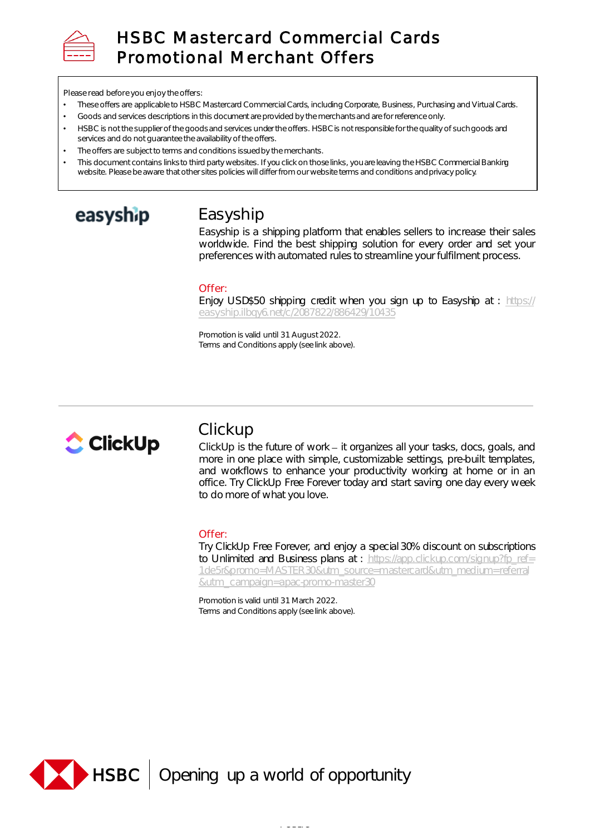

# HSBC Mastercard Commercial Cards Promotional Merchant Offers

Please read before you enjoy the offers:

- These offers are applicable to HSBC Mastercard Commercial Cards, including Corporate, Business, Purchasing and Virtual Cards.
- Goods and services descriptions in this document are provided by the merchants and are for reference only.
- HSBC is not the supplier of the goods and services under the offers. HSBC is not responsible for the quality of such goods and services and do not guarantee the availability of the offers.
- The offers are subject to terms and conditions issued by the merchants.
- This document contains links to third party websites. If you click on those links, you are leaving the HSBC Commercial Banking website. Please be aware that other sites policies will differ from our website terms and conditions and privacy policy.

# easyship

# Easyship

Easyship is a shipping platform that enables sellers to increase their sales worldwide. Find the best shipping solution for every order and set your preferences with automated rules to streamline your fulfilment process.

### Offer:

Enjoy USD\$50 shipping credit when you sign up to Easyship at : https:// [easyship.ilbqy6.net/c/2087822/886429/10435](https://easyship.ilbqy6.net/c/2087822/886429/10435)

Promotion is valid until 31 August 2022. Terms and Conditions apply (see link above).



# **Clickup**

ClickUp is the future of work - it organizes all your tasks, docs, goals, and more in one place with simple, customizable settings, pre-built templates, and workflows to enhance your productivity working at home or in an office. Try ClickUp Free Forever today and start saving one day every week to do more of what you love.

### Offer:

Try ClickUp Free Forever, and enjoy a special 30% discount on subscriptions to Unlimited and Business plans at : https://app.clickup.com/signup?fp\_ref= [1de5r&promo=MASTER30&utm\\_source=mastercard&utm\\_medium=referral](https://app.clickup.com/signup?fp_ref=1de5r&promo=MASTER30&utm_source=mastercard&utm_medium=referral&utm_campaign=apac-promo-master30) &utm\_campaign=apac-promo-master30

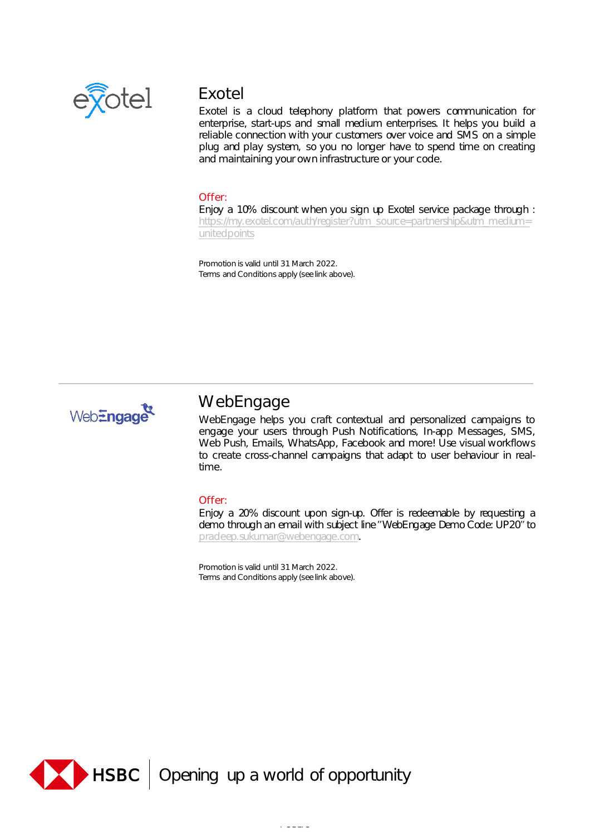

# Exotel

Exotel is a cloud telephony platform that powers communication for enterprise, start-ups and small medium enterprises. It helps you build a reliable connection with your customers over voice and SMS on a simple plug and play system, so you no longer have to spend time on creating and maintaining your own infrastructure or your code.

### Offer:

Enjoy a 10% discount when you sign up Exotel service package through : [https://my.exotel.com/auth/register?utm\\_source=partnership&utm\\_medium=](https://my.exotel.com/auth/register?utm_source=partnership&utm_medium=unitedpoints) unitedpoints

Promotion is valid until 31 March 2022. Terms and Conditions apply (see link above).



# **WebEngage**

WebEngage helps you craft contextual and personalized campaigns to engage your users through Push Notifications, In-app Messages, SMS, Web Push, Emails, WhatsApp, Facebook and more! Use visual workflows to create cross-channel campaigns that adapt to user behaviour in realtime.

### Offer:

Enjoy a 20% discount upon sign-up. Offer is redeemable by requesting a demo through an email with subject line "WebEngage Demo Code: UP20" to [pradeep.sukumar@webengage.com.](mailto:pradeep.sukumar@webengage.com)

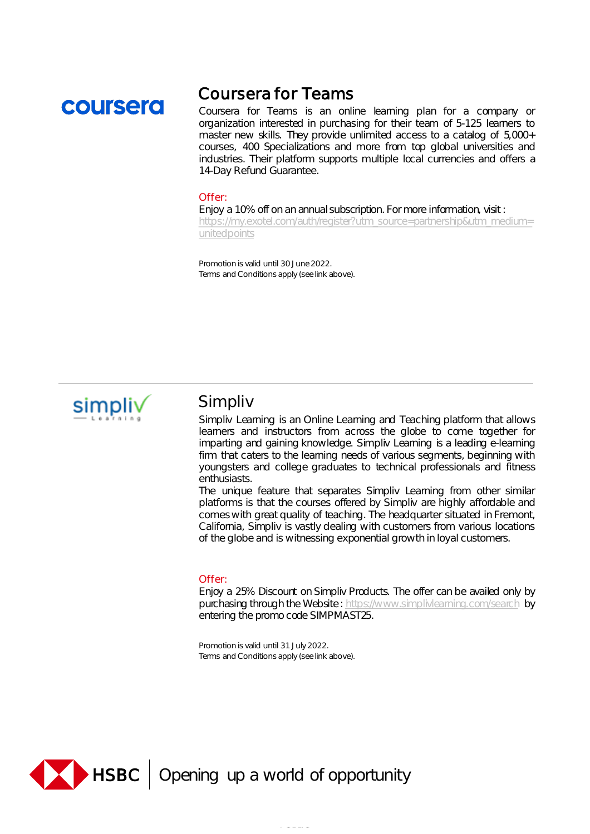# coursera

# Coursera for Teams

Coursera for Teams is an online learning plan for a company or organization interested in purchasing for their team of 5-125 learners to master new skills. They provide unlimited access to a catalog of 5,000+ courses, 400 Specializations and more from top global universities and industries. Their platform supports multiple local currencies and offers a 14-Day Refund Guarantee.

#### Offer:

Enjoy a 10% off on an annual subscription. For more information, visit : [https://my.exotel.com/auth/register?utm\\_source=partnership&utm\\_medium=](https://my.exotel.com/auth/register?utm_source=partnership&utm_medium=unitedpoints)

unitedpoints

Promotion is valid until 30 June 2022. Terms and Conditions apply (see link above).



### Simpliv

Simpliv Learning is an Online Learning and Teaching platform that allows learners and instructors from across the globe to come together for imparting and gaining knowledge. Simpliv Learning is a leading e-learning firm that caters to the learning needs of various segments, beginning with youngsters and college graduates to technical professionals and fitness enthusiasts.

The unique feature that separates Simpliv Learning from other similar platforms is that the courses offered by Simpliv are highly affordable and comeswith great quality of teaching. The headquarter situated in Fremont, California, Simpliv is vastly dealing with customers from various locations of the globe and is witnessing exponential growth in loyal customers.

### Offer:

Enjoy a 25% Discount on Simpliv Products. The offer can be availed only by purchasing through the Website : <https://www.simplivlearning.com/search> by entering the promo code SIMPMAST25.

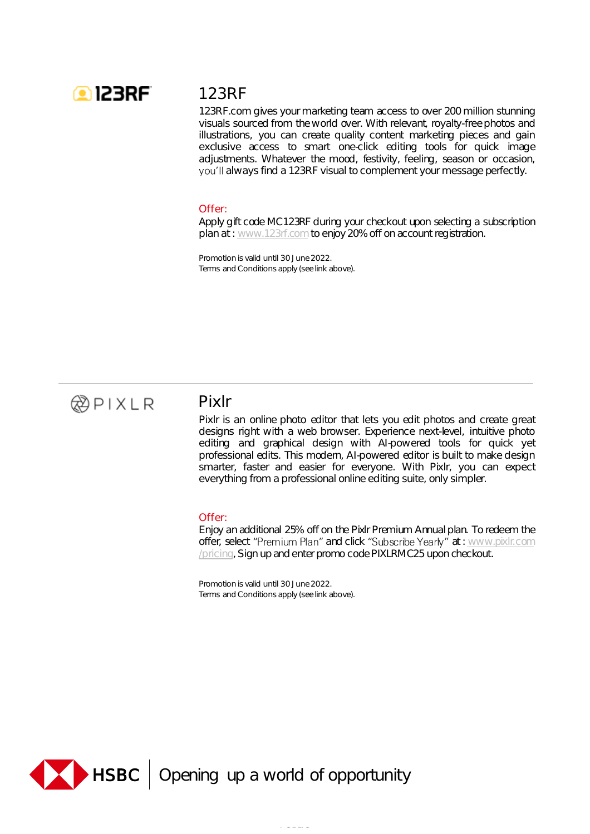

# 123RF

123RF.com gives your marketing team access to over 200 million stunning visuals sourced from the world over. With relevant, royalty-free photos and illustrations, you can create quality content marketing pieces and gain exclusive access to smart one-click editing tools for quick image adjustments. Whatever the mood, festivity, feeling, season or occasion, you'll always find a 123RF visual to complement your message perfectly.

#### Offer:

Apply gift code MC123RF during your checkout upon selecting a subscription plan at : [www.123rf.com](http://www.123rf.com/) to enjoy 20% off on account registration.

Promotion is valid until 30 June 2022. Terms and Conditions apply (see link above).



### Pixlr

Pixlr is an online photo editor that lets you edit photos and create great designs right with a web browser. Experience next-level, intuitive photo editing and graphical design with AI-powered tools for quick yet professional edits. This modern, AI-powered editor is built to make design smarter, faster and easier for everyone. With Pixlr, you can expect everything from a professional online editing suite, only simpler.

### Offer:

Enjoy an additional 25% off on the Pixlr Premium Annual plan. To redeem the offer, select "Premium Plan" and click "Subscribe Yearly" at : [www.pixlr.com](http://www.pixlr.com/pricing) /pricing, Sign up and enter promo code PIXLRMC25 upon checkout.

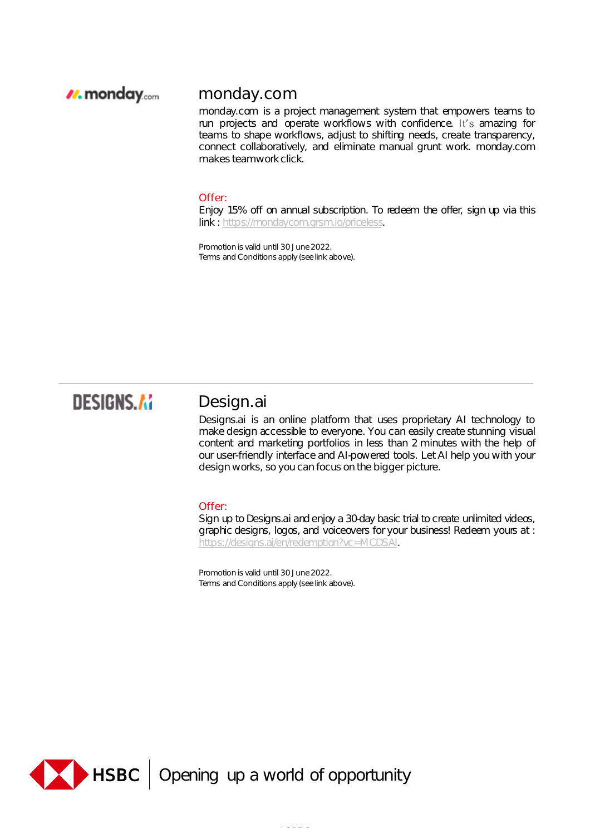### *I*. monday.com

### monday.com

monday.com is a project management system that empowers teams to run projects and operate workflows with confidence. It's amazing for teams to shape workflows, adjust to shifting needs, create transparency, connect collaboratively, and eliminate manual grunt work. monday.com makes teamwork click.

#### Offer:

Enjoy 15% off on annual subscription. To redeem the offer, sign up via this link : [https://mondaycom.grsm.io/priceless.](https://mondaycom.grsm.io/priceless)

Promotion is valid until 30 June 2022. Terms and Conditions apply (see link above).

# **DESIGNS.AI**

### Design.ai

Designs.ai is an online platform that uses proprietary AI technology to make design accessible to everyone. You can easily create stunning visual content and marketing portfolios in less than 2 minutes with the help of our user-friendly interface and AI-powered tools. Let AI help you with your design works, so you can focus on the bigger picture.

### Offer:

Sign up to Designs.ai and enjoy a 30-day basic trial to create unlimited videos, graphic designs, logos, and voiceovers for your business! Redeem yours at : [https://designs.ai/en/redemption?vc=MCDSAI.](https://designs.ai/en/redemption?vc=MCDSAI)

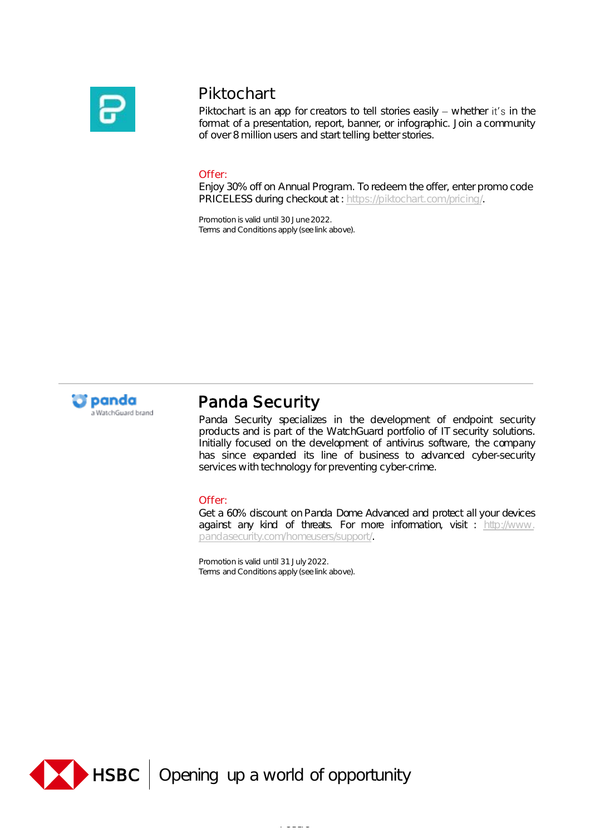

# Piktochart

Piktochart is an app for creators to tell stories easily  $-$  whether it's in the format of a presentation, report, banner, or infographic. Join a community of over 8 million users and start telling better stories.

### Offer:

Enjoy 30% off on Annual Program. To redeem the offer, enter promo code PRICELESS during checkout at : [https://piktochart.com/pricing/.](https://piktochart.com/pricing/)

Promotion is valid until 30 June 2022. Terms and Conditions apply (see link above).



# Panda Security

Panda Security specializes in the development of endpoint security products and is part of the WatchGuard portfolio of IT security solutions. Initially focused on the development of antivirus software, the company has since expanded its line of business to advanced cyber-security services with technology for preventing cyber-crime.

### Offer:

Get a 60% discount on Panda Dome Advanced and protect all your devices against any kind of threats. For more information, visit : http://www. [pandasecurity.com/homeusers/support/.](http://www.pandasecurity.com/homeusers/support/)

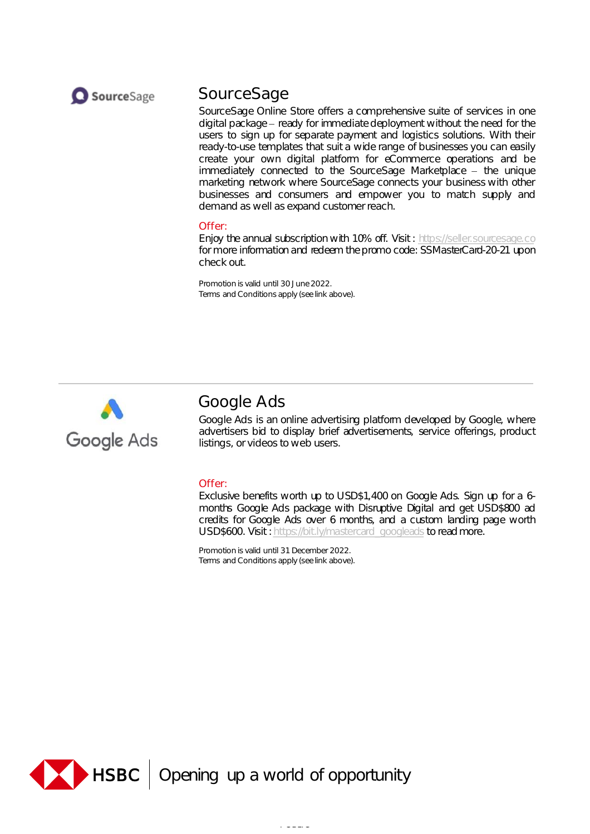

## SourceSage

SourceSage Online Store offers a comprehensive suite of services in one digital package - ready for immediate deployment without the need for the users to sign up for separate payment and logistics solutions. With their ready-to-use templates that suit a wide range of businesses you can easily create your own digital platform for eCommerce operations and be immediately connected to the SourceSage Marketplace - the unique marketing network where SourceSage connects your business with other businesses and consumers and empower you to match supply and demand as well as expand customer reach.

### Offer:

Enjoy the annual subscription with 10% off. Visit : [https://seller.sourcesage.co](https://seller.sourcesage.co/) for more information and redeem the promo code: SSMasterCard-20-21 upon check out.

Promotion is valid until 30 June 2022. Terms and Conditions apply (see link above).



# Google Ads

Google Ads is an online advertising platform developed by Google, where advertisers bid to display brief advertisements, service offerings, product listings, or videos to web users.

### Offer:

Exclusive benefits worth up to USD\$1,400 on Google Ads. Sign up for a 6 months Google Ads package with Disruptive Digital and get USD\$800 ad credits for Google Ads over 6 months, and a custom landing page worth USD\$600. Visit: [https://bit.ly/mastercard\\_googleads](https://bit.ly/mastercard_googleads) to read more.

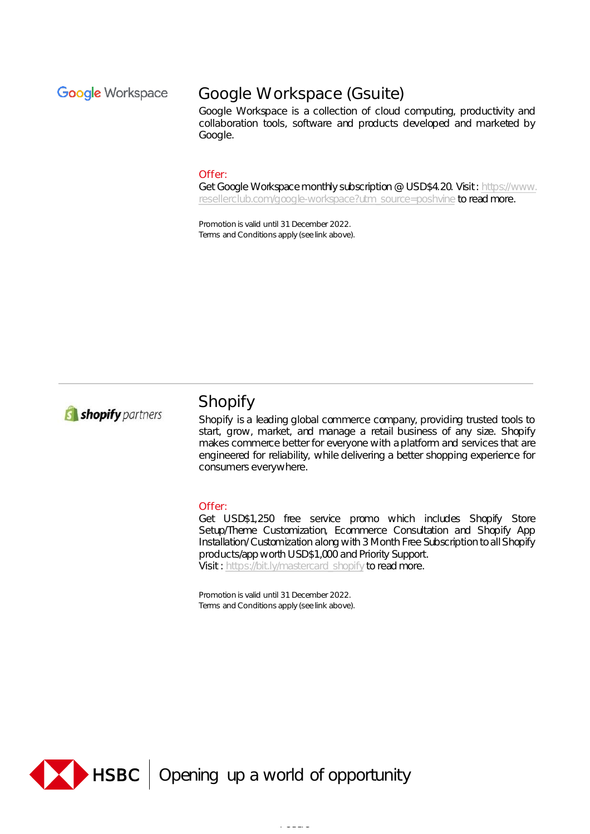### **Google Workspace**

# Google Workspace (Gsuite)

Google Workspace is a collection of cloud computing, productivity and collaboration tools, software and products developed and marketed by Google.

#### Offer:

Get Google Workspace monthly subscription @ USD\$4.20. Visit: https://www. [resellerclub.com/google-workspace?utm\\_source=poshvine](https://www.resellerclub.com/google-workspace?utm_source=poshvine) to read more.

Promotion is valid until 31 December 2022. Terms and Conditions apply (see link above).



# Shopify

Shopify is a leading global commerce company, providing trusted tools to start, grow, market, and manage a retail business of any size. Shopify makes commerce better for everyone with a platform and services that are engineered for reliability, while delivering a better shopping experience for consumers everywhere.

#### Offer:

Get USD\$1,250 free service promo which includes Shopify Store Setup/Theme Customization, Ecommerce Consultation and Shopify App Installation/Customization along with 3 Month Free Subscription toallShopify products/app worth USD\$1,000 and Priority Support. Visit : [https://bit.ly/mastercard\\_shopify](https://bit.ly/mastercard_shopify) to read more.

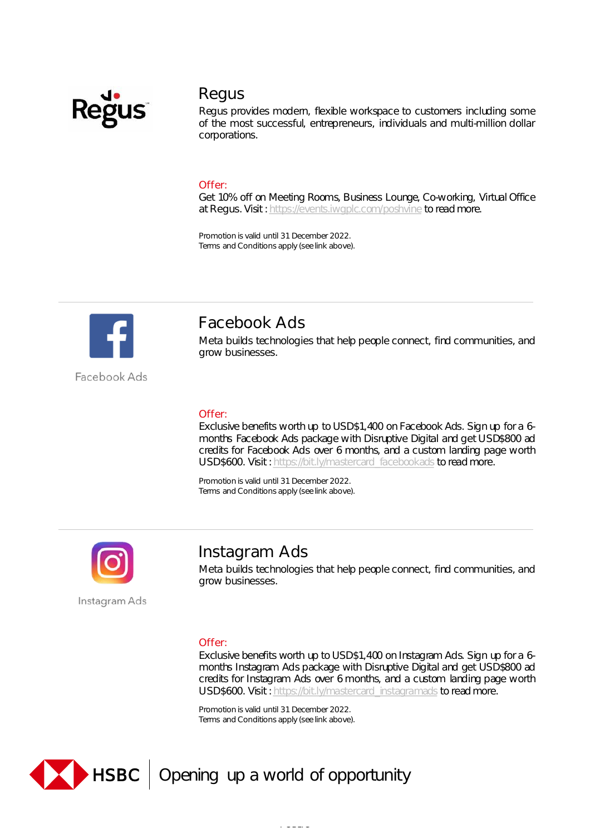

### Regus

Regus provides modern, flexible workspace to customers including some of the most successful, entrepreneurs, individuals and multi-million dollar corporations.

### Offer:

Get 10% off on Meeting Rooms, Business Lounge, Co-working, Virtual Office at Regus. Visit : [https://events.iwgplc.com/poshvine](https://urldefense.com/v3/__https:/events.iwgplc.com/poshvine__;!!LSAcJDlP!h0bdv9Wn8RZRqYkIRdj8kHZq8aYsHilNKL5dCtHebXkO8mPiR-WBQMLU1lcPCZTfEWI$) to read more.

Promotion is valid until 31 December 2022. Terms and Conditions apply (see link above).



Facebook Ads

Facebook Ads

Meta builds technologies that help people connect, find communities, and grow businesses.

### Offer:

Exclusive benefits worth up to USD\$1,400 on Facebook Ads. Sign up for a 6 months Facebook Ads package with Disruptive Digital and get USD\$800 ad credits for Facebook Ads over 6 months, and a custom landing page worth USD\$600. Visit: [https://bit.ly/mastercard\\_facebookads](https://bit.ly/mastercard_facebookads) to read more.

Promotion is valid until 31 December 2022. Terms and Conditions apply (see link above).



### Instagram Ads

Meta builds technologies that help people connect, find communities, and grow businesses.

### Offer:

Exclusive benefits worth up to USD\$1,400 on Instagram Ads. Sign up for a 6 months Instagram Ads package with Disruptive Digital and get USD\$800 ad credits for Instagram Ads over 6 months, and a custom landing page worth USD\$600. Visit: [https://bit.ly/mastercard\\_instagramads](https://bit.ly/mastercard_instagramads) to read more.